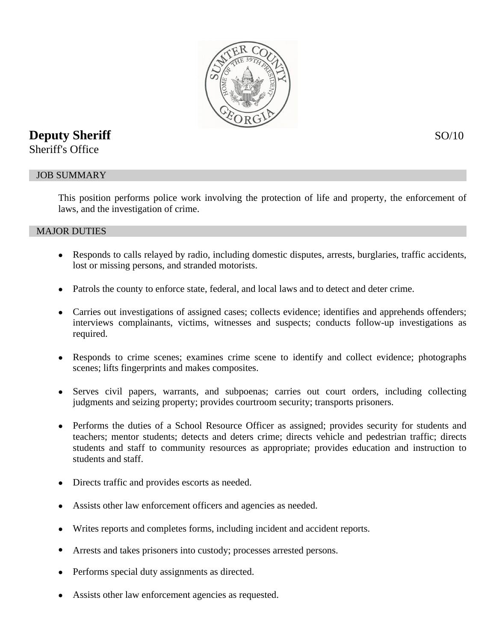

# **Deputy Sheriff** SO/10

Sheriff's Office

## JOB SUMMARY

This position performs police work involving the protection of life and property, the enforcement of laws, and the investigation of crime.

#### MAJOR DUTIES

- Responds to calls relayed by radio, including domestic disputes, arrests, burglaries, traffic accidents, lost or missing persons, and stranded motorists.
- Patrols the county to enforce state, federal, and local laws and to detect and deter crime.
- Carries out investigations of assigned cases; collects evidence; identifies and apprehends offenders; interviews complainants, victims, witnesses and suspects; conducts follow-up investigations as required.
- Responds to crime scenes; examines crime scene to identify and collect evidence; photographs scenes; lifts fingerprints and makes composites.
- Serves civil papers, warrants, and subpoenas; carries out court orders, including collecting judgments and seizing property; provides courtroom security; transports prisoners.
- Performs the duties of a School Resource Officer as assigned; provides security for students and teachers; mentor students; detects and deters crime; directs vehicle and pedestrian traffic; directs students and staff to community resources as appropriate; provides education and instruction to students and staff.
- Directs traffic and provides escorts as needed.
- Assists other law enforcement officers and agencies as needed.
- Writes reports and completes forms, including incident and accident reports.
- Arrests and takes prisoners into custody; processes arrested persons.
- Performs special duty assignments as directed.
- Assists other law enforcement agencies as requested.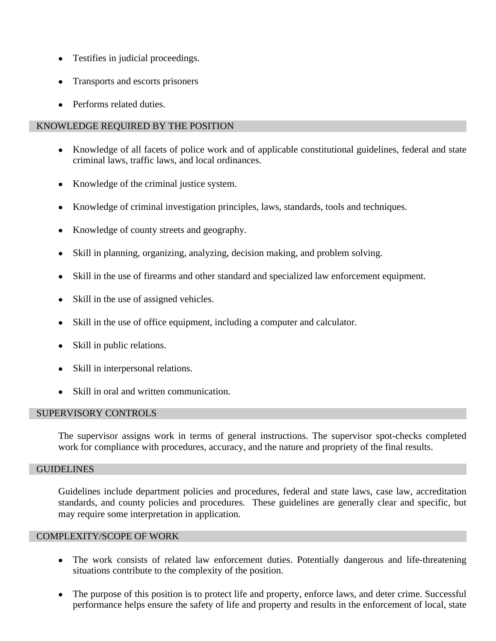- Testifies in judicial proceedings.
- Transports and escorts prisoners
- Performs related duties.

### KNOWLEDGE REQUIRED BY THE POSITION

- Knowledge of all facets of police work and of applicable constitutional guidelines, federal and state criminal laws, traffic laws, and local ordinances.
- Knowledge of the criminal justice system.
- Knowledge of criminal investigation principles, laws, standards, tools and techniques.
- Knowledge of county streets and geography.
- Skill in planning, organizing, analyzing, decision making, and problem solving.
- Skill in the use of firearms and other standard and specialized law enforcement equipment.
- Skill in the use of assigned vehicles.
- Skill in the use of office equipment, including a computer and calculator.
- Skill in public relations.
- Skill in interpersonal relations.
- Skill in oral and written communication.

#### SUPERVISORY CONTROLS

The supervisor assigns work in terms of general instructions. The supervisor spot-checks completed work for compliance with procedures, accuracy, and the nature and propriety of the final results.

## GUIDELINES

Guidelines include department policies and procedures, federal and state laws, case law, accreditation standards, and county policies and procedures. These guidelines are generally clear and specific, but may require some interpretation in application.

#### COMPLEXITY/SCOPE OF WORK

- The work consists of related law enforcement duties. Potentially dangerous and life-threatening situations contribute to the complexity of the position.
- The purpose of this position is to protect life and property, enforce laws, and deter crime. Successful performance helps ensure the safety of life and property and results in the enforcement of local, state